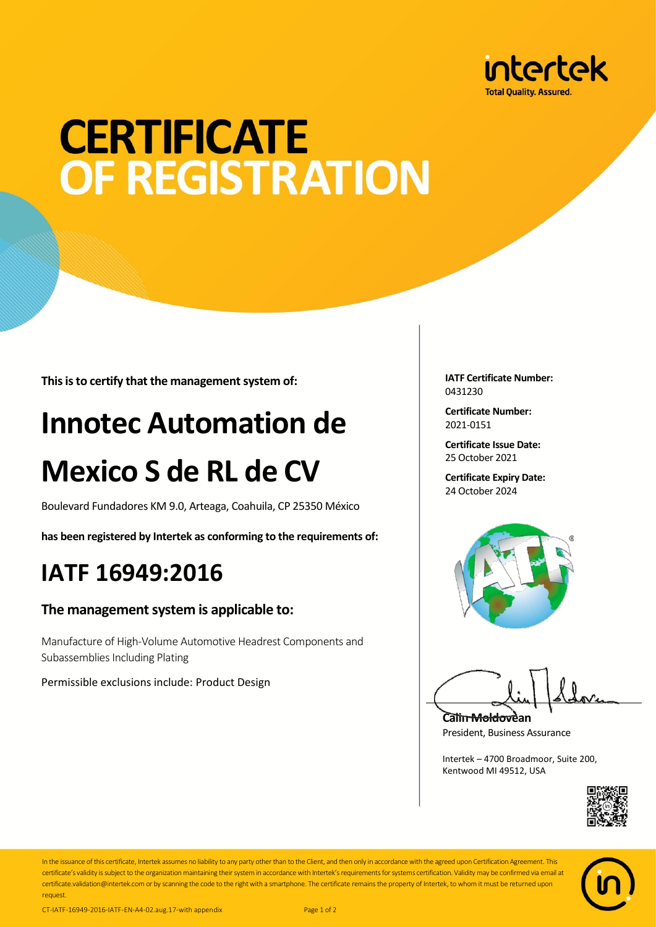

# **CERTIFICATE OF REGISTRATION**

**This is to certify that the management system of:**

## **Innotec Automation de Mexico S de RL de CV**

Boulevard Fundadores KM 9.0, Arteaga, Coahuila, CP 25350 México

**has been registered by Intertek as conforming to the requirements of:**

#### **IATF 16949:2016**

#### **The management system is applicable to:**

Manufacture of High-Volume Automotive Headrest Components and Subassemblies Including Plating

Permissible exclusions include: Product Design

**IATF Certificate Number:** 0431230

**Certificate Number:** 2021-0151

**Certificate Issue Date:** 25 October 2021

**Certificate Expiry Date:** 24 October 2024



**Calin Moldovean** President, Business Assurance

Intertek – 4700 Broadmoor, Suite 200, Kentwood MI 49512, USA





In the issuance of this certificate, Intertek assumes no liability to any party other than to the Client, and then only in accordance with the agreed upon Certification Agreement. This certificate's validity is subject to the organization maintaining their system in accordance with Intertek's requirements for systems certification. Validity may be confirmed via email at certificate.validation@intertek.com or by scanning the code to the right with a smartphone. The certificate remains the property of Intertek, to whom it must be returned upon request

CT-IATF-16949-2016-IATF-EN-A4-02.aug.17-with appendix Page 1 of 2